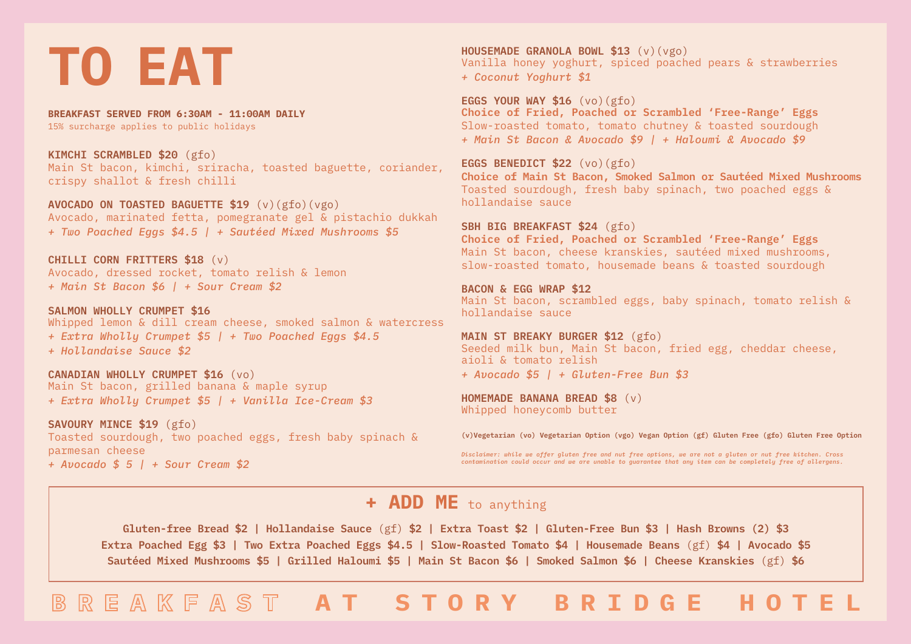# **TO EAT**

**BREAKFAST SERVED FROM 6:30AM - 11:00AM DAILY** 15% surcharge applies to public holidays

**KIMCHI SCRAMBLED \$20** (gfo) Main St bacon, kimchi, sriracha, toasted baguette, coriander, crispy shallot & fresh chilli

**AVOCADO ON TOASTED BAGUETTE \$19** (v)(gfo)(vgo) Avocado, marinated fetta, pomegranate gel & pistachio dukkah *+ Two Poached Eggs \$4.5 | + Sautéed Mixed Mushrooms \$5*

**CHILLI CORN FRITTERS \$18** (v) Avocado, dressed rocket, tomato relish & lemon *+ Main St Bacon \$6 | + Sour Cream \$2*

**SALMON WHOLLY CRUMPET \$16** Whipped lemon & dill cream cheese, smoked salmon & watercress *+ Extra Wholly Crumpet \$5 | + Two Poached Eggs \$4.5 + Hollandaise Sauce \$2*

**CANADIAN WHOLLY CRUMPET \$16** (vo) Main St bacon, grilled banana & maple syrup *+ Extra Wholly Crumpet \$5 | + Vanilla Ice-Cream \$3*

**SAVOURY MINCE \$19** (gfo) Toasted sourdough, two poached eggs, fresh baby spinach & parmesan cheese *+ Avocado \$ 5 | + Sour Cream \$2*

**HOUSEMADE GRANOLA BOWL \$13** (v)(vgo) Vanilla honey yoghurt, spiced poached pears & strawberries *+ Coconut Yoghurt \$1*

**EGGS YOUR WAY \$16** (vo)(gfo) **Choice of Fried, Poached or Scrambled 'Free-Range' Eggs** Slow-roasted tomato, tomato chutney & toasted sourdough *+ Main St Bacon & Avocado \$9 | + Haloumi & Avocado \$9*

**EGGS BENEDICT \$22** (vo)(gfo) **Choice of Main St Bacon, Smoked Salmon or Sautéed Mixed Mushrooms** Toasted sourdough, fresh baby spinach, two poached eggs & hollandaise sauce

**SBH BIG BREAKFAST \$24** (gfo) **Choice of Fried, Poached or Scrambled 'Free-Range' Eggs** Main St bacon, cheese kranskies, sautéed mixed mushrooms, slow-roasted tomato, housemade beans & toasted sourdough

**BACON & EGG WRAP \$12** Main St bacon, scrambled eggs, baby spinach, tomato relish & hollandaise sauce

**MAIN ST BREAKY BURGER \$12** (gfo) Seeded milk bun, Main St bacon, fried egg, cheddar cheese, aioli & tomato relish *+ Avocado \$5 | + Gluten-Free Bun \$3*

**HOMEMADE BANANA BREAD \$8** (v) Whipped honeycomb butter

**(v)Vegetarian (vo) Vegetarian Option (vgo) Vegan Option (gf) Gluten Free (gfo) Gluten Free Option**

*Disclaimer: while we offer gluten free and nut free options, we are not a gluten or nut free kitchen. Cross contamination could occur and we are unable to guarantee that any item can be completely free of allergens.*

### **+ ADD ME** to anything

**Gluten-free Bread \$2 | Hollandaise Sauce** (gf) **\$2 | Extra Toast \$2 | Gluten-Free Bun \$3 | Hash Browns (2) \$3 Extra Poached Egg \$3 | Two Extra Poached Eggs \$4.5 | Slow-Roasted Tomato \$4 | Housemade Beans** (gf) **\$4 | Avocado \$5 Sautéed Mixed Mushrooms \$5 | Grilled Haloumi \$5 | Main St Bacon \$6 | Smoked Salmon \$6 | Cheese Kranskies** (gf) **\$6**

**BREAKFAST AT STORY BRIDGE HOTEL**